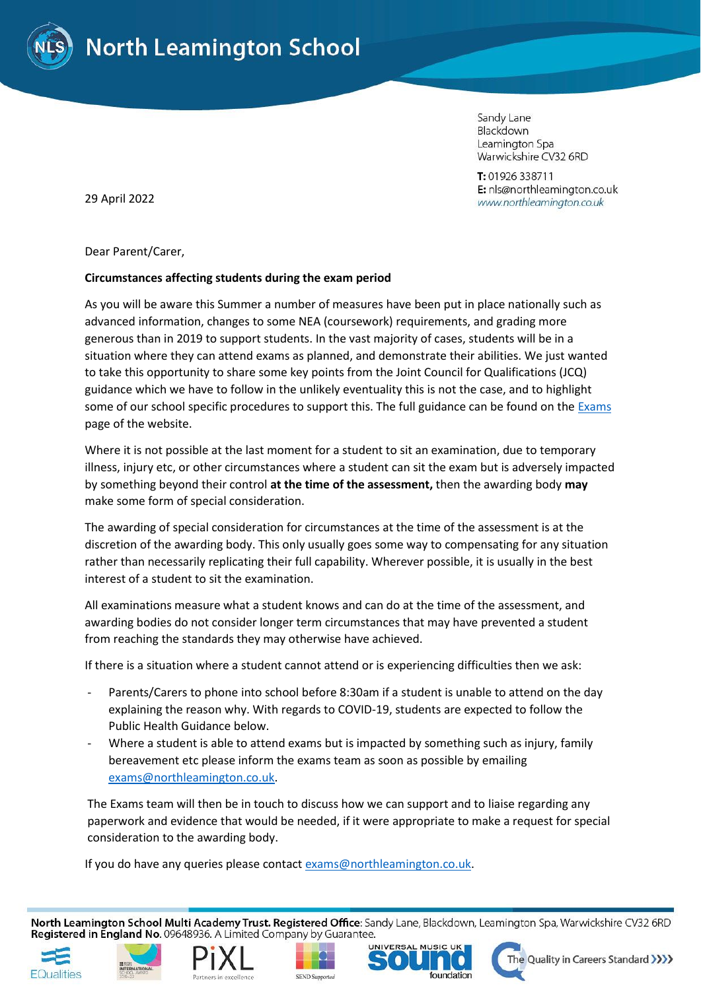

Sandy Lane Blackdown Leamington Spa Warwickshire CV32 6RD

T: 01926 338711 E: nls@northleamington.co.uk www.northleamington.co.uk

29 April 2022

Dear Parent/Carer,

## **Circumstances affecting students during the exam period**

As you will be aware this Summer a number of measures have been put in place nationally such as advanced information, changes to some NEA (coursework) requirements, and grading more generous than in 2019 to support students. In the vast majority of cases, students will be in a situation where they can attend exams as planned, and demonstrate their abilities. We just wanted to take this opportunity to share some key points from the Joint Council for Qualifications (JCQ) guidance which we have to follow in the unlikely eventuality this is not the case, and to highlight some of our school specific procedures to support this. The full guidance can be found on th[e Exams](https://www.northleamington.co.uk/learn/assessments-and-exams) page of the website.

Where it is not possible at the last moment for a student to sit an examination, due to temporary illness, injury etc, or other circumstances where a student can sit the exam but is adversely impacted by something beyond their control **at the time of the assessment,** then the awarding body **may** make some form of special consideration.

The awarding of special consideration for circumstances at the time of the assessment is at the discretion of the awarding body. This only usually goes some way to compensating for any situation rather than necessarily replicating their full capability. Wherever possible, it is usually in the best interest of a student to sit the examination.

All examinations measure what a student knows and can do at the time of the assessment, and awarding bodies do not consider longer term circumstances that may have prevented a student from reaching the standards they may otherwise have achieved.

If there is a situation where a student cannot attend or is experiencing difficulties then we ask:

- Parents/Carers to phone into school before 8:30am if a student is unable to attend on the day explaining the reason why. With regards to COVID-19, students are expected to follow the Public Health Guidance below.
- Where a student is able to attend exams but is impacted by something such as injury, family bereavement etc please inform the exams team as soon as possible by emailing [exams@northleamington.co.uk.](mailto:exams@northleamington.co.uk)

The Exams team will then be in touch to discuss how we can support and to liaise regarding any paperwork and evidence that would be needed, if it were appropriate to make a request for special consideration to the awarding body.

If you do have any queries please contact [exams@northleamington.co.uk.](mailto:exams@northleamington.co.uk)

North Leamington School Multi Academy Trust. Registered Office: Sandy Lane, Blackdown, Leamington Spa, Warwickshire CV32 6RD Registered in England No. 09648936. A Limited Company by Guarantee.